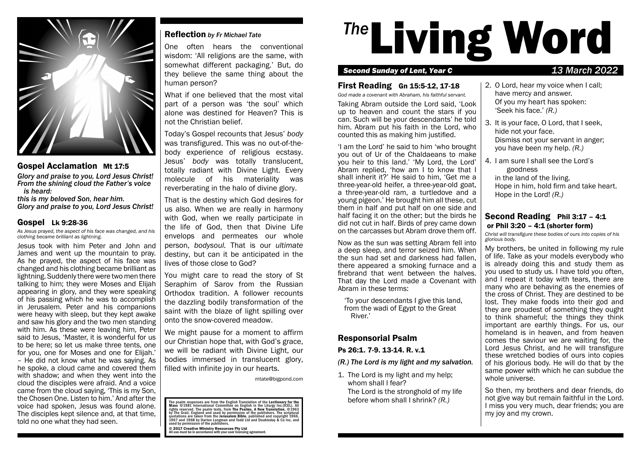

#### Gospel Acclamation Mt 17:5

*Glory and praise to you, Lord Jesus Christ! From the shining cloud the Father's voice is heard:*

*this is my beloved Son, hear him. Glory and praise to you, Lord Jesus Christ!*

# Gospel Lk 9:28-36

*As Jesus prayed, the aspect of his face was changed, and his clothing became brilliant as lightning.*

Jesus took with him Peter and John and James and went up the mountain to pray. As he prayed, the aspect of his face was changed and his clothing became brilliant as lightning. Suddenly there were two men there talking to him; they were Moses and Elijah appearing in glory, and they were speaking of his passing which he was to accomplish in Jerusalem. Peter and his companions were heavy with sleep, but they kept awake and saw his glory and the two men standing with him. As these were leaving him, Peter said to Jesus, 'Master, it is wonderful for us to be here; so let us make three tents, one for you, one for Moses and one for Elijah.' – He did not know what he was saying. As he spoke, a cloud came and covered them with shadow; and when they went into the cloud the disciples were afraid. And a voice came from the cloud saying, 'This is my Son, the Chosen One. Listen to him.' And after the voice had spoken, Jesus was found alone. The disciples kept silence and, at that time, told no one what they had seen.

# Reflection by Fr Michael Tate

One often hears the conventional wisdom: 'All religions are the same, with somewhat different packaging.' But, do they believe the same thing about the human person?

What if one believed that the most vital part of a person was 'the soul' which alone was destined for Heaven? This is not the Christian belief.

Today's Gospel recounts that Jesus' body was transfigured. This was no out-of-thebody experience of religious ecstasy. Jesus' body was totally translucent, totally radiant with Divine Light. Every molecule of his materiality was reverberating in the halo of divine glory.

That is the destiny which God desires for us also. When we are really in harmony with God, when we really participate in the life of God, then that Divine Life envelops and permeates our whole person, bodysoul. That is our ultimate destiny, but can it be anticipated in the lives of those close to God?

You might care to read the story of St Seraphim of Sarov from the Russian Orthodox tradition. A follower recounts the dazzling bodily transformation of the saint with the blaze of light spilling over onto the snow-covered meadow.

We might pause for a moment to affirm our Christian hope that, with God's grace, we will be radiant with Divine Light, our bodies immersed in translucent glory, filled with infinite joy in our hearts.

mtate@bigpond.com

The psalm responses are from the English Translation of the Lectionary for the<br>Mass ©1981 International Committee on English in the Liturgy Inc.(ICEL). All rights reserved. The psalm texts, from **The Psalms, A New Translation, ©1**963<br>by The Grail, England and used by permission of the publishers. The scriptural<br>quotations are taken from the Jerusalem Bible, published and copy

© 2017 Creative Ministry Resources Pty Ltd All use must be in accordance with your user licensing agreement.

# <sup>The</sup>Living Word

### Second Sunday of Lent, Year C 13 March 2022

#### First Reading Gn 15:5-12, 17-18

*God made a covenant with Abraham, his faithful servant.*

Taking Abram outside the Lord said, 'Look up to heaven and count the stars if you can. Such will be your descendants' he told him. Abram put his faith in the Lord, who counted this as making him justifed.

'I am the Lord' he said to him 'who brought you out of Ur of the Chaldaeans to make you heir to this land.' 'My Lord, the Lord' Abram replied, 'how am I to know that I shall inherit it?' He said to him, 'Get me a three-year-old heifer, a three-year-old goat, a three-year-old ram, a turtledove and a young pigeon.' He brought him all these, cut them in half and put half on one side and half facing it on the other; but the birds he did not cut in half. Birds of prey came down on the carcasses but Abram drove them off.

Now as the sun was setting Abram fell into a deep sleep, and terror seized him. When the sun had set and darkness had fallen, there appeared a smoking furnace and a frebrand that went between the halves. That day the Lord made a Covenant with Abram in these terms:

'To your descendants I give this land, from the wadi of Egypt to the Great River.'

# Responsorial Psalm

#### Ps 26:1. 7-9. 13-14. R. v.1

#### *(R.) The Lord is my light and my salvation.*

1. The Lord is my light and my help; whom shall I fear? The Lord is the stronghold of my life before whom shall I shrink? *(R.)*

- 2. O Lord, hear my voice when I call; have mercy and answer. Of you my heart has spoken: 'Seek his face.' *(R.)*
- 3. It is your face, O Lord, that I seek, hide not your face. Dismiss not your servant in anger; you have been my help. *(R.)*
- 4. I am sure I shall see the Lord's goodness in the land of the living. Hope in him, hold firm and take heart. Hope in the Lord! *(R.)*

### Second Reading Phil 3:17 – 4:1 or Phil 3:20 – 4:1 (shorter form)

*Christ will transfgure these bodies of ours into copies of his glorious body.*

My brothers, be united in following my rule of life. Take as your models everybody who is already doing this and study them as you used to study us. I have told you often, and I repeat it today with tears, there are many who are behaving as the enemies of the cross of Christ. They are destined to be lost. They make foods into their god and they are proudest of something they ought to think shameful; the things they think important are earthly things. For us, our homeland is in heaven, and from heaven comes the saviour we are waiting for, the Lord Jesus Christ, and he will transfigure these wretched bodies of ours into copies of his glorious body. He will do that by the same power with which he can subdue the whole universe.

So then, my brothers and dear friends, do not give way but remain faithful in the Lord. I miss you very much, dear friends; you are my joy and my crown.